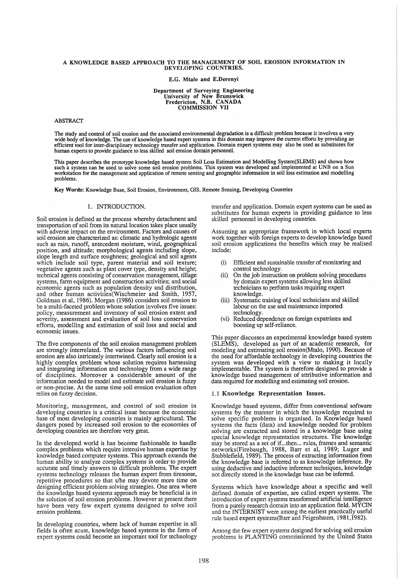# A KNOWLEDGE BASED APPROACH TO THE MANAGEMENT OF SOIL EROSION INFORMATION IN DEVELOPING COUNTRIES.

E.G. Mtalo and E.Derenyi

Department of Surveying Engineering University of New Brunswick Fredericton, N.B. CANADA COMMISSION VII

## ABSTRACT

The study and control of soil erosion and the associated environmental degradation is a difficult problem because it involves a very wide body of knowledge. The use of knowledge based expert systems in this domain may improve the current efforts by providing an efficient tool for inter-disciplinary technology transfer and application. Domain expert systems may also be used as substitutes for human experts to provide guidance to less skilled soil erosion domain personnel.

This paper describes the prototype knowledge based system Soil Loss Estimation and Modelling System(SLEMS) and shows how such a system can be used to solve some soil erosion problems. This system was developed and implemented at UNB on a Sun<br>workstation for the management and application of remote sensing and geographic information in soil l problems.

Key Words: Knowledge Base, Soil Erosion, Environment, GIS, Remote Sensing, Developing Countries

## 1. INTRODUCTION.

Soil erosion is defined as the process whereby detachment and transportation of soil from its natural location takes place usually with adverse impact on the environment. Factors and causes of soil erosion are characterized as: climatic and hydrologic agents such as rain, runoff, antecedent moisture, wind, geographical position, and altitude; morphological agents including slope, slope length and surface roughness; geological and soil agents which include soil type, parent material and soil texture; vegetative agents such as plant cover type, density and height; technical agents consisting of conservation management, tillage systems, farm equipment and construction activities; and social economic agents such as population density and distribution, and other human activities(Wischmeier and Smith, 1957, Goldman et al, 1986). Morgan (1986) considers soil erosion to be a multi-faceted problem whose solution involves five issues: policy, measurement and inventory of soil erosion extent and severity, assessment and evaluation of soil loss conservation efforts, modelling and estimation of soil loss and social and economic issues.

The five components of the soil erosion management problem are strongly interrelated. The various factors influencing soil erosion are also intricately intertwined. Clearly soil erosion is a highly complex problem whose solution requires harnessing and integrating information and technology from a wide range and income interesting in the measurement of disciplines. Moreover a considerable amount of the information needed to model and estimate soil erosion is fuzzy or non-precise. At the same time soil erosion evaluation often relies on fuzzy decision.

Monitoring, management, and control of soil erosion in developing countries is a critical issue because the economic base of most developing countries is mainly agricultural. The dangers posed by increased soil erosion to the economies of developing countries are therefore very great.

In the developed world it has become fashionable to handle complex problems which require intensive human expertise by' knowledge based computer systems. This approach extends the human ability to analyze complex systems in order to provide accurate and timely answers to difficult problems. The expert systems technology releases the human expert from tiresome, repetitive procedures so that s/he may devote more time on designing efficient problem solving strategies. One area where the knowledge based systems approach may be beneficial is in the solution of soil erosion problems. However at present there have been very few expert systems designed to solve soil erosion problems.

In developing countries, where lack of human expertise in all fields is often acute, knowledge based systems in the form of expert systems could become an important tool for technology transfer and application. Domain expert systems can be used as substitutes for human experts in providing guidance to less skilled personnel in developing countries.

Assuming an appropriate framework in which local experts work together with foreign experts to develop knowledge based soil erosion applications the benefits which may be realised include:

- (i) Efficient and sustainable transfer of monitoring and control technology.
- (ii) On the job instruction on problem solving procedures by domain expert systems allowing less skilled technicians to perform tasks requiring expert knowledge.
- (iii) Systematic training of local technicians and skilled labour on the use and maintenance imported technology.
- (vi) Reduced dependence on foreign expatriates and boosting up self-reliance.

This paper discusses an experimental knowledge based system (SLEMS), developed as part of an academic research, for modeling and estimating soil erosion(Mtalo, 1990). Because of the need for affordable technology in developing countries the system was developed with a' view to making it locally implementable. The system is therefore designed to provide a knowledge based management of attributive information and data required for modelling and estimating soil erosion.

## 1.1 Knowledge Representation Issues.

Knowledge based systems, differ from conventional software systems by the manner in which the knowledge required to solve specific problems is organised. In Knowledge based systems the facts (data) and knowledge needed for problem solving are extracted and stored in a knowledge base using special knowledge representation structures. The knowledge may be stored as a set of if...then... rules, frames and semantic networks (Firebaugh, 1988, Barr et aI, 1989; Luger and Stubblefield, 1989). The process of extracting information from the knowledge base is referred to as knowledge inference. By using deductive and inductive inference techniques, knowledge not directly stored in the knowledge base can be inferred.

Systems which have knowledge about a specific and well defined domain of expertise, are called expert systems. The introduction of expert systems transformed artificial intelligence from a purely research domain into an application field.  $\overline{M}$  CIN and the INTERNIST were among the earliest practically useful rule based expert systems(Barr and Feigenbaum, 1981,1982).

Among the few expert systems designed for solving soil erosion problems is PLANTING commissioned by the United States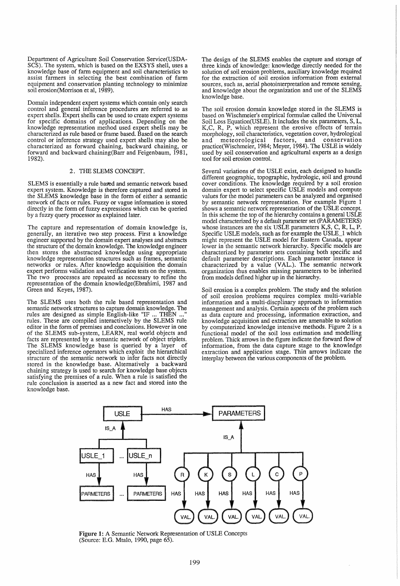Department of Agriculture Soil Conservation Service(USDA-SCS). The system, which is based on the EXSYS shell, uses a knowledge base of farm equipment and soil characteristics to assist farmers in selecting the best combination of farm equipment and conservation planting technology to minimize soil erosion(Morrison et al, 1989).

Domain independent expert systems which contain only search control and general inference procedures are referred to as expert shells. Expert shells can be used to create expert systems expert shells. Expert shells can be used to create expert systems for specific domains of applications. Depending on the knowledge representation method used expert shells may be characterized as rule based or frame based. Based on the search control or inference strategy used expert shells may also be characterized as forward chaining, backward chaining, or forward and backward chaining(Barr and Feigenbaum, 1981, 1982).

## 2. THESLEMS CONCEPT.

SLEMS is essentially a rule based and semantic network based expert system. Knowledge is therefore captured and stored in the SLEMS knowledge base in the form of either a semantic network of facts or rules. Fuzzy or vague information is stored directly in the form of fuzzy expressions which can be queried by a fuzzy query processor as explained later.

The capture and representation of domain knowledge is, generally, an iterative two step process. First a knowledge engineer supported by the domain expert analyses and abstracts the structure of the domain knowledge. The knowledge engineer then stores the abstracted knowledge using appropriate knowledge representation structures such as frames, semantic networks or rules. After knowledge acquisition the domain expert performs validation and verification tests on the system. The two processes are repeated as necessary to refine the representation of the domain knowledge(Ebrahimi, 1987 and Green and Keyes, 1987).

The SLEMS uses both the rule based representation and semantic network structures to capture domain knowledge. The rules are designed as simple English-like "IF ... THEN ... rules. These are compiled interactively by the SLEMS rule editor in the form of premises and conclusions. However in one of the SLEMS sub-system, LEARN, real world objects and of the SLEMS sub-system, LEARN, real world objects and facts are represented by a semantic network of object triplets. The SLEMS knowledge base is queried by a layer of specialized inference operators which exploit the hierarchical structure of the semantic network to infer facts not directly stored in the knowledge base. Alternatively a backward chaining strategy is used to search for knowledge base objects satisfying the premises of a rule. When a rule is satisfied the rule conclusion is asserted as a new fact and stored into the knowledge base.

The design of the SLEMS enables the capture and storage of three kinds of knowledge: knowledge directly needed for the solution of soil erosion problems, auxiliary knowledge required for the extraction of soil erosion information from external sources, such as, aerial photointerpretation and remote sensing, and knowledge about the organization and use of the SLEMS knowledge base.

The soil erosion domain knowledge stored in the SLEMS is based on Wischmeier's empirical formulae called the Universal Soil Loss Equation(USLE). It includes the six parameters, S, L, K,C, R, P, which represent the erosive effects of terrain morphology, soil characteristics, vegetation cover, hydrological and meteorological factors, and conservation practice(Wischmeier, 1984; Meyer, 1984). The USLE is widely used by soil conservation and agricultural experts as a design tool for soil erosion control.

Several variations of the USLE exist, each designed to handle cover conditions. The knowledge required by a soil erosion domain expert to select specific USLE models and compute values for the model parameters can be analyzed and organised by semantic network representation. For example Figure 1 shows a semantic network representation of the USLE concept. In this scheme the top of the hierarchy contains a general USLE model characterized by a default parameter set (PARAMETERS) whose instances are the six USLE parameters K,S, C, R, L, P. Specific USLE models, such as for example the USLE\_1 which might represent the USLE model for Eastern Canada, appear<br>lower in the semantic network hierarchy. Specific models are characterized by parameter sets containing both specific and default parameter descriptions. Each parameter instance is characterized by a value (VAL.). The semantic network organization thus enables missing parameters to be inherited from models defined higher up in the hierarchy.

Soil erosion is a complex problem. The study and the solution of soil erosion problems requires complex multi-variable information and a multi-discplinary approach to information as data capture and processing, information extraction, and knowledge acquisition and extraction are amenable to solution by computerized knowledge intensive methods. Figure 2 is a functional model of the soil loss estimation and modelling problem. Thick arrows in the figure indicate the forward flow of information, from the data capture stage to the knowledge extraction and application stage. Thin arrows indicate the interplay between the various components of the problem.



Figure 1: A Semantic Network Representation of USLE Concepts (Source: E.G. Mtalo, 1990, page 65).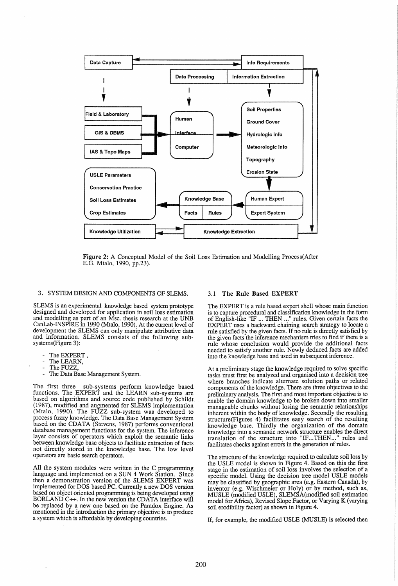

Figure 2: A Conceptual Model of the Soil Loss Estimation and Modelling Process(After E.G. Mtalo, 1990, pp.23).

## 3. SYSTEM DESIGN AND COMPONENTS OF SLEMS.

SLEMS is an experimental knowledge based system prototype designed and developed for application in soil loss estimation and modelling as part of an Msc. thesis research at the UNB CanLab-INSPIRE in 1990 (Mtalo, 1990). At the current level of development the SLEMS can only manipulate attributive data and information. SLEMS consists of the following subsystems(Figure 3):

- 
- 
- 
- The EXPERT,<br>The LEARN,<br>The FUZZ,<br>The Data Base Management System.

The first three sub-systems perform knowledge based functions. The EXPERT and the LEARN sub-systems are based on algorithms and source code published by Schildt (1987), modified and augmented for SLEMS implementation (Mtalo, 1990). The FUZZ sub-system was developed to process fuzzy knowledge. The Data Base Management System based on the CDATA (Stevens, 1987) performs conventional database management functions for the system. The inference layer consists of operators which exploit the semantic links between knowledge base objects to facilitate extraction of facts not directly stored in the knowledge base. The low level operators are basic search operators.

All the system modules were written in the C programming language and implemented on a SUN 4 Work Station. Since then a demonstration version of the SLEMS EXPERT was implemented for DOS based PC. Currently a new DOS version based on object oriented programming is being developed using BORLAND C++. In the new version the CDATA interface will be replaced by a new one based on the Paradox Engine. As mentioned in the introduction the primary objective is to produce a system which is affordable by developing countries.

#### 3.1 The Rule Based EXPERT

The EXPERT is a rule based expert shell whose main function is to capture procedural and classification knowledge in the form of English-like "IF ... THEN ... " rules. Given certain facts the EXPERT uses a backward chaining search strategy to locate a rule satisfied by the given facts. If no rule is directly satisfied by the given facts the inference mechanism tries to find if there is a the given facts the inference mechanism tries to find if there is a rule whose conclusion would provide the additional facts needed to satisfy another rule. Newly deduced facts are added into the knowledge base and used in subsequent inference.

At a preliminary stage the knowledge required to solve specific tasks must first be analyzed and organised into a decision tree where branches indicate alternate solution paths or related components of the knowledge. There are three objectives to the preliminary analysis. The first and most important objective is to enable the domain knowledge to be broken down into smaller manageable chunks without losing the semantic relationships inherent within the body of knowledge. Secondly the resulting structure(Figures 4) facilitates easy search of the resulting knowledge base. Thirdly the organization of the domain knowledge into a semantic network structure enables the direct translation of the structure into "IF...THEN..." rules and translation of the structure into "IF...THEN..." rules and facilitates checks against errors in the generation of rules.

The structure of the knowledge required to calculate soil loss by the USLE model is shown in Figure 4. Based on this the first stage in the estimation of soil loss involves the sefection of a specific model. Using the decision tree model USLE models may be classified by geographic area (e.g. Eastern Canada), by inventor (e.g. Wischmeier or Holy) or by method, such as, MUSLE (modified USLE), SLEMSA(modified soil estimation model for Africa), Revised Slope Factor, or Varying K (varying soil erodibility factor) as shown in Figure 4.

If, for example, the modified USLE (MUSLE) is selected then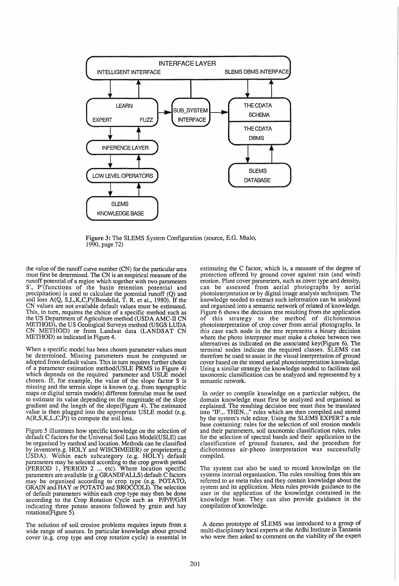

Figure 3: The SLEMS System Configuration (source, E.G. Mtalo, 1990, page 72)

the value of the runoff curve number (CN) for the particular area must first be determined. The CN is an empirical measure of the runoff potential of a region which together with two parameters S', P'(functions of the basin retention potential and precipitation) is used to calculate the potential runoff (Q) and soil loss A(Q, S,L,K,C,P)(Bondelid, T. R. et aI., 1980). If the CN values are not available default values must be estimated. This, in turn, requires the choice of a specific method such as the US Department of Agriculture method (USDA AMC-II CN METHOD), the US Geological Surveys method (USGS LUDA CN METHOD) or from Landsat data (LANDSAT CN METHOD) as indicated in Figure 4.

When a specific model has been chosen parameter values must be determined. Missing parameters must be computed or adopted from default values. This in turn requires further choice of a parameter estimation method(USLE PRMS in Figure 4) which depends on the required parameter and USLE model chosen. If, for example, the value of the slope factor S is missing and the terrain slope is known (e.g. from topographic maps or digital terrain models) different formulae must be used to estimate its value depending on the magnitude of the slope gradient and the length of the slope(Figure 4). The estimated value is then plugged into the appropriate USLE model (e.g.  $A(R, S, K, L, C, P)$  to compute the soil loss.

Figure 5 illustrates how specific knowledge on the selection of default C factors for the Universal Soil Loss Model(USLE) can be organised by method and location. Methods can be classified by inventor(e.g. HOLY and WISCHMEIER) or proprietor(e.g USDA). Within each subcategory (e.g. HOLY) default parameters may be selected according to the crop growth period (PERIOD 1, PERIOD 2 ... etc). Where location specific parameters are available (e.g GRANDFALLS) default C factors may be organised according to crop type (e.g. POTATO, GRAIN and HA Y or POTATO and BROCCOLI). The selection of default parameters within each crop type may then be done according to the Crop Rotation Cycle such as P/p/p/G/H indicating three potato seasons followed by grain and hay rotations(Figure 5).

The solution of soil erosion problems requires inputs from a wide range of sources. In particular knowledge about ground cover (e.g. crop type and crop rotation cycle) is essential in estimating the C factor, which is, a measure of the degree of protection offered by ground cover against rain (and wind) erosion. Plant cover parameters, such as cover type and density, can be assessed from aerial photographs by aerial photointerpretation or by digital image analysis techniques. The knowledge needed to extract such information can be analyzed and organised into a semantic network of related of knowledge. Figure 6 shows the decision tree resulting from the application of this strategy to the method of dichotomous photointerpretation of crop cover from aerial photographs. In this case each node in the tree represents a binary decision where the photo interpreter must make a choice between two alternatives as indicated on the associated key(Figure 6). The terminal nodes indicate the required classes. SLEMS can therefore be used to assist in the visual interpretation of ground cover based on the stored aerial photointerpretation knowledge. Using a similar strategy the knowledge needed to facilitate soil taxonomic classification can be analyzed and represented by a semantic network.

In order to compile knowledge on a particular subject, the domain knowledge must first be analyzed and organised as explained. The resulting decision tree must then be translated into "IF... THEN..." rules which are then compiled and stored by the system's rule editor. Using the SLEMS EXPERT a rule base containing: rules for the selection of soil erosion models and their parameters, soil taxonomic classification rules, rules for the selection of spectral bands and their application to the classification of ground features, and the procedure for dichotomous air-photo interpretation was successfully compiled.

The system can also be used to record knowledge on the systems internal organization. The rules resulting from this are referred to as meta rules and they contain knowledge about the system and its application. Meta rules provide guidance to the user in the application of the knowledge contained in the knowledge base. They can also provide guidance in the compilation of knowledge.

A demo prototype of StEMS was introduced to a group of multi-disciplinary local experts at the Ardhi Institute in Tanzania who were then asked to comment on the viability of the expert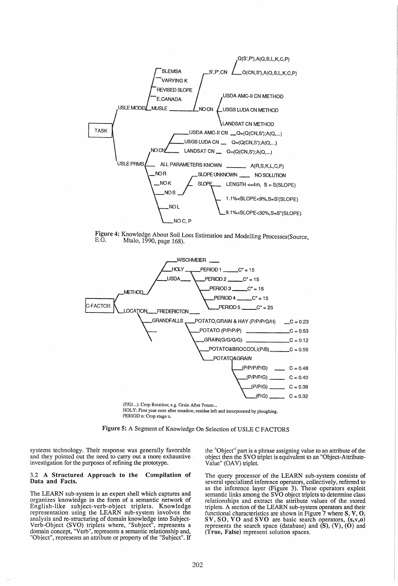





HOLY: First year com after meadow, residue left and incorporated by ploughing. PERIOD n: Crop stage n.

Figure 5: A Segment of Knowledge On Selection of USLE C FACTORS

systems technology. Their response was generally favorable and they pointed out the need to carry out a more exhaustive . investigation for the purposes of refining the prototype.

#### 3.2 A Structured Approach **to** the Compilation of Data and Facts.

The LEARN sub-system is an expert shell which captures and organizes knowledge in the form of a semantic network of English-like subject-verb-object triplets. Knowledge representation using the LEARN sub-system involves the analysis and re-structuring of domain knowledge into Subject-Verb-Object (SVO) triplets where, "Subject", represents a domain concept, "Verb", represents a semantic relationship and, "Object", represents an attribute or property of the "Subject". If the "Object" part is a phrase assigning value to an attribute of the object then the SVO triplet is equivalent to an "Object-Attribute-Value" (OAV) triplet.

The query processor of the LEARN sub-system consists of several specialized inference operators, collectively, referred to as the inference layer (Figure 3). These operators exploit semantic links among the SVO object triplets to determine class relationships and extract the attribute values of the stored triplets. A section of the LEARN sub-system operators and their functional characteristics are shown in Figure  $\overline{7}$  where  $\overline{S}$ ,  $V$ ,  $O$ , SV, SO, VO and SVO are basic search operators, (s,v,o) represents the search space (database) and  $(S)$ ,  $(V)$ ,  $(O)$  and (True, False) represent solution spaces.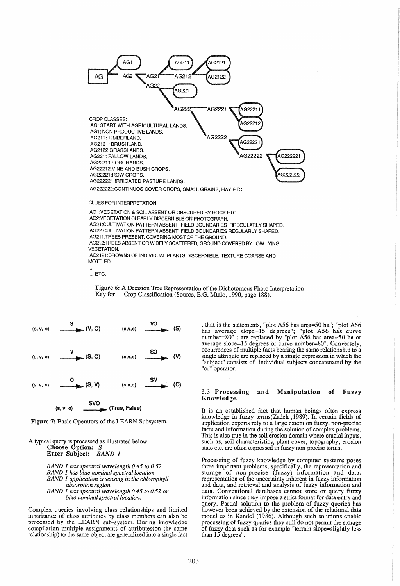

AG21 :CUl TIVATION PATTERN ABSENT; FiELD BOUNDARIES IRREGULARLY SHAPED. AG22:CULTIVATION PATTERN ABSENT; FIELD BOUNDARIES REGULARLY SHAPED. AG211 :TREES PRESENT, COVERING MOST OF THE GROUND. AG212:TREES ABSENT OR WIDELY SCATTERED, GROUND COVERED BY LOW LYING **VEGETATION** AG2121 ;CROWNS OF INDIVIDUAL PLANTS DISCERNIBLE, TEXTURE COARSE AND

... ETC.

Figure 6: A Decision Tree Representation of the Dichotomous Photo Interpretation Key for Crop Classification (Source, E.G. Mtalo, 1990, page 188). Crop Classification (Source, E.G. Mtalo, 1990, page 188).

| (s, v, o) | <sub>-</sub> (V, O)     | (s,v,o)       | (S) |
|-----------|-------------------------|---------------|-----|
| (s, v, o) | (S, O)                  | (s,v,o)       | (V) |
| (s, v, o) | (S, V)                  | $(S,V,O)$ SV  | (O) |
|           | <b>SVO</b><br>(s, v, o) | (True, False) |     |

Figure 7: Basic Operators of the LEARN Subsystem.

A typical query is processed as illustrated below: Choose Option: S Enter SUbject: BAND 1

> *BAND* 1 *has spectral wavelength 0.45 to 0.52 BAND* 1 *has blue nominal spectral location. BAND* 1 *application is sensing in the chlorophyll absorption region. BAND* 1 *has spectral wavelength 0.45 to 0.52 or blue nominal spectral location.*

Complex queries involving class relationships and limited inheritance of class attributes by class members can also be processed by the LEARN sub-system. During knowledge relationship) to the same object are generalized into a single fact

, that is the statements, "plot A56 has area=50 ha"; "plot A56 has average slope=15 degrees"; "plot A56 has curve<br>number=80" ; are replaced by "plot A56 has area=50 ha or<br>average slope=15 degrees or curve number=80". Conversely,<br>occurrences of multiple facts bearing the same relations single attribute are replaced by a single expression in which the "subject" consists of individual subjects concatenated by the "or" operator.

#### 3.3 Processing and Manipulation of Fuzzy Knowledge.

It is an established fact that human beings often express knowledge in fuzzy terms(Zadeh ,1989). In certain fields of application experts rely to a large extent on fuzzy, non-precise facts and information during the solution of complex problems. This is also true in the soil erosion domain where crucial inputs, such as, soil characteristics, plant cover, topography, erosion state etc. are often expressed in fuzzy non-precise terms.

Processing of fuzzy knowledge by computer systems poses three important problems, specifically, the representation and storage of non-precise (fuzzy) information and data, representation of the uncertainty inherent in fuzzy information and data, and retrieval and analysis of fuzzy information and data. Conventional databases cannot store or query fuzzy information since they impose a strict format for data entry and query. Partial solution to the problem of fuzzy queries has however been achieved by the extension of the relational data model as in Kandel (1986). Although such solutions enable processing of fuzzy queries they still do not permit the storage of fuzzy data such as for example "terrain slope=slightly less than 15 degrees".

MOTTLED.